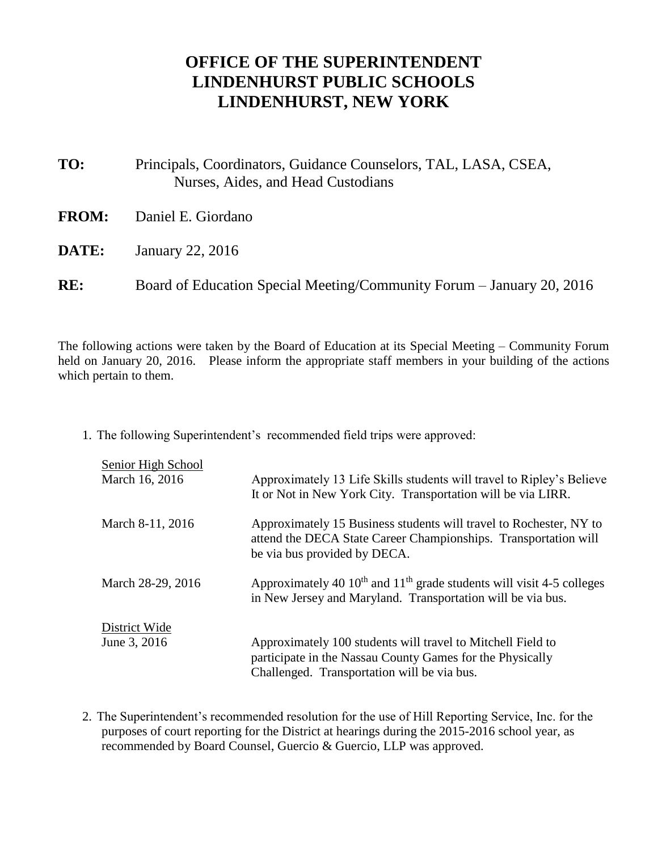## **OFFICE OF THE SUPERINTENDENT LINDENHURST PUBLIC SCHOOLS LINDENHURST, NEW YORK**

- **TO:** Principals, Coordinators, Guidance Counselors, TAL, LASA, CSEA, Nurses, Aides, and Head Custodians **FROM:** Daniel E. Giordano **DATE:** January 22, 2016
- **RE:** Board of Education Special Meeting/Community Forum January 20, 2016

The following actions were taken by the Board of Education at its Special Meeting – Community Forum held on January 20, 2016. Please inform the appropriate staff members in your building of the actions which pertain to them.

1. The following Superintendent's recommended field trips were approved:

| Senior High School<br>March 16, 2016 | Approximately 13 Life Skills students will travel to Ripley's Believe<br>It or Not in New York City. Transportation will be via LIRR.                                   |
|--------------------------------------|-------------------------------------------------------------------------------------------------------------------------------------------------------------------------|
| March 8-11, 2016                     | Approximately 15 Business students will travel to Rochester, NY to<br>attend the DECA State Career Championships. Transportation will<br>be via bus provided by DECA.   |
| March 28-29, 2016                    | Approximately 40 $10^{\text{th}}$ and $11^{\text{th}}$ grade students will visit 4-5 colleges<br>in New Jersey and Maryland. Transportation will be via bus.            |
| District Wide<br>June 3, 2016        | Approximately 100 students will travel to Mitchell Field to<br>participate in the Nassau County Games for the Physically<br>Challenged. Transportation will be via bus. |

2. The Superintendent's recommended resolution for the use of Hill Reporting Service, Inc. for the purposes of court reporting for the District at hearings during the 2015-2016 school year, as recommended by Board Counsel, Guercio & Guercio, LLP was approved.